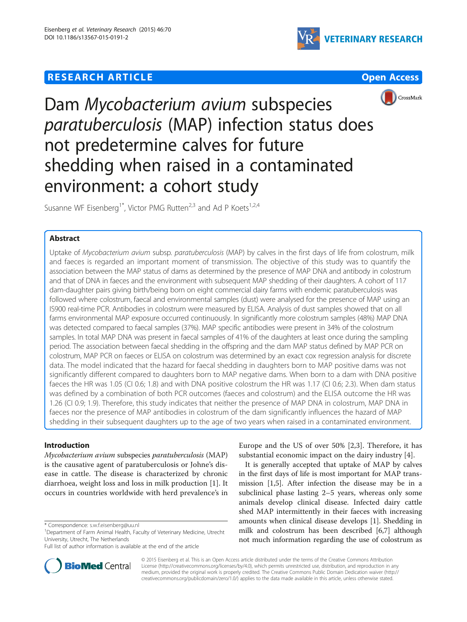## **RESEARCH ARTICLE Example 2014 12:30 THE Open Access**







# Dam Mycobacterium avium subspecies paratuberculosis (MAP) infection status does not predetermine calves for future shedding when raised in a contaminated environment: a cohort study

Susanne WF Eisenberg<sup>1\*</sup>, Victor PMG Rutten<sup>2,3</sup> and Ad P Koets<sup>1,2,4</sup>

## Abstract

Uptake of Mycobacterium avium subsp. paratuberculosis (MAP) by calves in the first days of life from colostrum, milk and faeces is regarded an important moment of transmission. The objective of this study was to quantify the association between the MAP status of dams as determined by the presence of MAP DNA and antibody in colostrum and that of DNA in faeces and the environment with subsequent MAP shedding of their daughters. A cohort of 117 dam-daughter pairs giving birth/being born on eight commercial dairy farms with endemic paratuberculosis was followed where colostrum, faecal and environmental samples (dust) were analysed for the presence of MAP using an IS900 real-time PCR. Antibodies in colostrum were measured by ELISA. Analysis of dust samples showed that on all farms environmental MAP exposure occurred continuously. In significantly more colostrum samples (48%) MAP DNA was detected compared to faecal samples (37%). MAP specific antibodies were present in 34% of the colostrum samples. In total MAP DNA was present in faecal samples of 41% of the daughters at least once during the sampling period. The association between faecal shedding in the offspring and the dam MAP status defined by MAP PCR on colostrum, MAP PCR on faeces or ELISA on colostrum was determined by an exact cox regression analysis for discrete data. The model indicated that the hazard for faecal shedding in daughters born to MAP positive dams was not significantly different compared to daughters born to MAP negative dams. When born to a dam with DNA positive faeces the HR was 1.05 (CI 0.6; 1.8) and with DNA positive colostrum the HR was 1.17 (CI 0.6; 2.3). When dam status was defined by a combination of both PCR outcomes (faeces and colostrum) and the ELISA outcome the HR was 1.26 (CI 0.9; 1.9). Therefore, this study indicates that neither the presence of MAP DNA in colostrum, MAP DNA in faeces nor the presence of MAP antibodies in colostrum of the dam significantly influences the hazard of MAP shedding in their subsequent daughters up to the age of two years when raised in a contaminated environment.

## Introduction

Mycobacterium avium subspecies paratuberculosis (MAP) is the causative agent of paratuberculosis or Johne's disease in cattle. The disease is characterized by chronic diarrhoea, weight loss and loss in milk production [[1\]](#page-6-0). It occurs in countries worldwide with herd prevalence's in



It is generally accepted that uptake of MAP by calves in the first days of life is most important for MAP transmission [\[1,5](#page-6-0)]. After infection the disease may be in a subclinical phase lasting 2–5 years, whereas only some animals develop clinical disease. Infected dairy cattle shed MAP intermittently in their faeces with increasing amounts when clinical disease develops [[1](#page-6-0)]. Shedding in milk and colostrum has been described [[6,](#page-6-0)[7\]](#page-7-0) although not much information regarding the use of colostrum as



© 2015 Eisenberg et al. This is an Open Access article distributed under the terms of the Creative Commons Attribution License (<http://creativecommons.org/licenses/by/4.0>), which permits unrestricted use, distribution, and reproduction in any medium, provided the original work is properly credited. The Creative Commons Public Domain Dedication waiver [\(http://](http://creativecommons.org/publicdomain/zero/1.0/) [creativecommons.org/publicdomain/zero/1.0/\)](http://creativecommons.org/publicdomain/zero/1.0/) applies to the data made available in this article, unless otherwise stated.

<sup>\*</sup> Correspondence: [s.w.f.eisenberg@uu.nl](mailto:s.w.f.eisenberg@uu.nl) <sup>1</sup>

<sup>&</sup>lt;sup>1</sup>Department of Farm Animal Health, Faculty of Veterinary Medicine, Utrecht University, Utrecht, The Netherlands

Full list of author information is available at the end of the article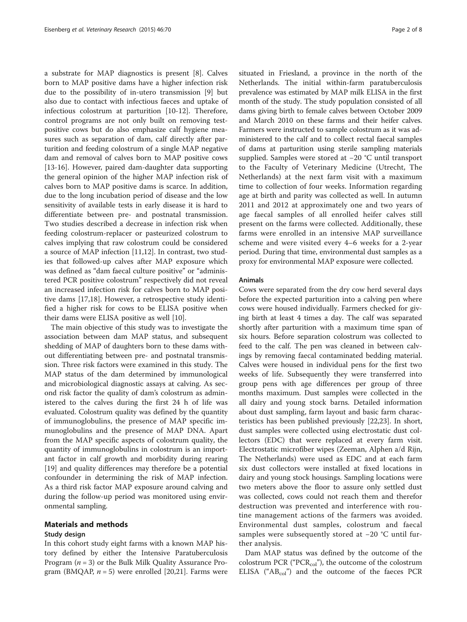a substrate for MAP diagnostics is present [\[8](#page-7-0)]. Calves born to MAP positive dams have a higher infection risk due to the possibility of in-utero transmission [[9\]](#page-7-0) but also due to contact with infectious faeces and uptake of infectious colostrum at parturition [\[10-12](#page-7-0)]. Therefore, control programs are not only built on removing testpositive cows but do also emphasize calf hygiene measures such as separation of dam, calf directly after parturition and feeding colostrum of a single MAP negative dam and removal of calves born to MAP positive cows [[13-16](#page-7-0)]. However, paired dam-daughter data supporting the general opinion of the higher MAP infection risk of calves born to MAP positive dams is scarce. In addition, due to the long incubation period of disease and the low sensitivity of available tests in early disease it is hard to differentiate between pre- and postnatal transmission. Two studies described a decrease in infection risk when feeding colostrum-replacer or pasteurized colostrum to calves implying that raw colostrum could be considered a source of MAP infection [\[11,12](#page-7-0)]. In contrast, two studies that followed-up calves after MAP exposure which was defined as "dam faecal culture positive" or "administered PCR positive colostrum" respectively did not reveal an increased infection risk for calves born to MAP positive dams [[17,18\]](#page-7-0). However, a retrospective study identified a higher risk for cows to be ELISA positive when their dams were ELISA positive as well [[10](#page-7-0)].

The main objective of this study was to investigate the association between dam MAP status, and subsequent shedding of MAP of daughters born to these dams without differentiating between pre- and postnatal transmission. Three risk factors were examined in this study. The MAP status of the dam determined by immunological and microbiological diagnostic assays at calving. As second risk factor the quality of dam's colostrum as administered to the calves during the first 24 h of life was evaluated. Colostrum quality was defined by the quantity of immunoglobulins, the presence of MAP specific immunoglobulins and the presence of MAP DNA. Apart from the MAP specific aspects of colostrum quality, the quantity of immunoglobulins in colostrum is an important factor in calf growth and morbidity during rearing [[19\]](#page-7-0) and quality differences may therefore be a potential confounder in determining the risk of MAP infection. As a third risk factor MAP exposure around calving and during the follow-up period was monitored using environmental sampling.

## Materials and methods

## Study design

In this cohort study eight farms with a known MAP history defined by either the Intensive Paratuberculosis Program ( $n = 3$ ) or the Bulk Milk Quality Assurance Program (BMQAP,  $n = 5$ ) were enrolled [\[20,21](#page-7-0)]. Farms were

situated in Friesland, a province in the north of the Netherlands. The initial within-farm paratuberculosis prevalence was estimated by MAP milk ELISA in the first month of the study. The study population consisted of all dams giving birth to female calves between October 2009 and March 2010 on these farms and their heifer calves. Farmers were instructed to sample colostrum as it was administered to the calf and to collect rectal faecal samples of dams at parturition using sterile sampling materials supplied. Samples were stored at −20 °C until transport to the Faculty of Veterinary Medicine (Utrecht, The Netherlands) at the next farm visit with a maximum time to collection of four weeks. Information regarding age at birth and parity was collected as well. In autumn 2011 and 2012 at approximately one and two years of age faecal samples of all enrolled heifer calves still present on the farms were collected. Additionally, these farms were enrolled in an intensive MAP surveillance scheme and were visited every 4–6 weeks for a 2-year period. During that time, environmental dust samples as a proxy for environmental MAP exposure were collected.

### Animals

Cows were separated from the dry cow herd several days before the expected parturition into a calving pen where cows were housed individually. Farmers checked for giving birth at least 4 times a day. The calf was separated shortly after parturition with a maximum time span of six hours. Before separation colostrum was collected to feed to the calf. The pen was cleaned in between calvings by removing faecal contaminated bedding material. Calves were housed in individual pens for the first two weeks of life. Subsequently they were transferred into group pens with age differences per group of three months maximum. Dust samples were collected in the all dairy and young stock barns. Detailed information about dust sampling, farm layout and basic farm characteristics has been published previously [\[22,23\]](#page-7-0). In short, dust samples were collected using electrostatic dust collectors (EDC) that were replaced at every farm visit. Electrostatic microfiber wipes (Zeeman, Alphen a/d Rijn, The Netherlands) were used as EDC and at each farm six dust collectors were installed at fixed locations in dairy and young stock housings. Sampling locations were two meters above the floor to assure only settled dust was collected, cows could not reach them and therefor destruction was prevented and interference with routine management actions of the farmers was avoided. Environmental dust samples, colostrum and faecal samples were subsequently stored at −20 °C until further analysis.

Dam MAP status was defined by the outcome of the colostrum PCR (" $PCR_{col}$ "), the outcome of the colostrum ELISA (" $AB_{col}$ ") and the outcome of the faeces PCR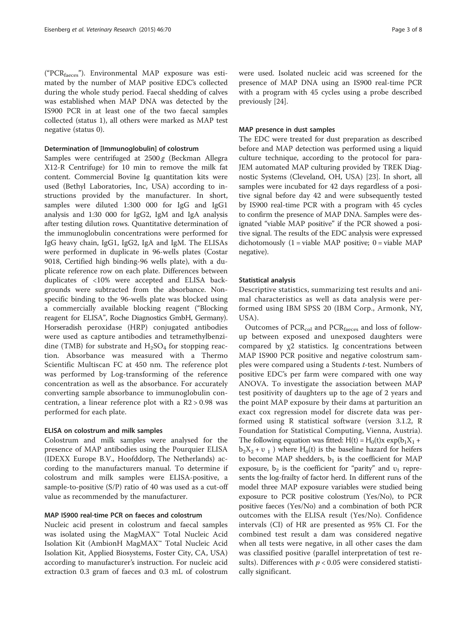("PCRfaeces"). Environmental MAP exposure was estimated by the number of MAP positive EDC's collected during the whole study period. Faecal shedding of calves was established when MAP DNA was detected by the IS900 PCR in at least one of the two faecal samples collected (status 1), all others were marked as MAP test negative (status 0).

#### Determination of [Immunoglobulin] of colostrum

Samples were centrifuged at  $2500 g$  (Beckman Allegra X12-R Centrifuge) for 10 min to remove the milk fat content. Commercial Bovine Ig quantitation kits were used (Bethyl Laboratories, Inc, USA) according to instructions provided by the manufacturer. In short, samples were diluted 1:300 000 for IgG and IgG1 analysis and 1:30 000 for IgG2, IgM and IgA analysis after testing dilution rows. Quantitative determination of the immunoglobulin concentrations were performed for IgG heavy chain, IgG1, IgG2, IgA and IgM. The ELISAs were performed in duplicate in 96-wells plates (Costar 9018, Certified high binding-96 wells plate), with a duplicate reference row on each plate. Differences between duplicates of <10% were accepted and ELISA backgrounds were subtracted from the absorbance. Nonspecific binding to the 96-wells plate was blocked using a commercially available blocking reagent ("Blocking reagent for ELISA", Roche Diagnostics GmbH, Germany). Horseradish peroxidase (HRP) conjugated antibodies were used as capture antibodies and tetramethylbenzidine (TMB) for substrate and  $H_2SO_4$  for stopping reaction. Absorbance was measured with a Thermo Scientific Multiscan FC at 450 nm. The reference plot was performed by Log-transforming of the reference concentration as well as the absorbance. For accurately converting sample absorbance to immunoglobulin concentration, a linear reference plot with a R2 > 0.98 was performed for each plate.

## ELISA on colostrum and milk samples

Colostrum and milk samples were analysed for the presence of MAP antibodies using the Pourquier ELISA (IDEXX Europe B.V., Hoofddorp, The Netherlands) according to the manufacturers manual. To determine if colostrum and milk samples were ELISA-positive, a sample-to-positive (S/P) ratio of 40 was used as a cut-off value as recommended by the manufacturer.

## MAP IS900 real-time PCR on faeces and colostrum

Nucleic acid present in colostrum and faecal samples was isolated using the MagMAX™ Total Nucleic Acid Isolation Kit (AmbionH MagMAX™ Total Nucleic Acid Isolation Kit, Applied Biosystems, Foster City, CA, USA) according to manufacturer's instruction. For nucleic acid extraction 0.3 gram of faeces and 0.3 mL of colostrum were used. Isolated nucleic acid was screened for the presence of MAP DNA using an IS900 real-time PCR with a program with 45 cycles using a probe described previously [\[24](#page-7-0)].

#### MAP presence in dust samples

The EDC were treated for dust preparation as described before and MAP detection was performed using a liquid culture technique, according to the protocol for para-JEM automated MAP culturing provided by TREK Diagnostic Systems (Cleveland, OH, USA) [\[23\]](#page-7-0). In short, all samples were incubated for 42 days regardless of a positive signal before day 42 and were subsequently tested by IS900 real-time PCR with a program with 45 cycles to confirm the presence of MAP DNA. Samples were designated "viable MAP positive" if the PCR showed a positive signal. The results of the EDC analysis were expressed dichotomously  $(1 = \text{viable MAP positive}; 0 = \text{viable MAP}$ negative).

### Statistical analysis

Descriptive statistics, summarizing test results and animal characteristics as well as data analysis were performed using IBM SPSS 20 (IBM Corp., Armonk, NY, USA).

Outcomes of  $PCR_{col}$  and  $PCR_{faces}$  and loss of followup between exposed and unexposed daughters were compared by χ2 statistics. Ig concentrations between MAP IS900 PCR positive and negative colostrum samples were compared using a Students t-test. Numbers of positive EDC's per farm were compared with one way ANOVA. To investigate the association between MAP test positivity of daughters up to the age of 2 years and the point MAP exposure by their dams at parturition an exact cox regression model for discrete data was performed using R statistical software (version 3.1.2, R Foundation for Statistical Computing, Vienna, Austria). The following equation was fitted:  $H(t) = H_0(t)x \exp(b_1X_1 +$  $b_2X_2 + v_1$ ) where H<sub>0</sub>(t) is the baseline hazard for heifers to become MAP shedders,  $b_1$  is the coefficient for MAP exposure,  $b_2$  is the coefficient for "parity" and  $v_1$  represents the log-frailty of factor herd. In different runs of the model three MAP exposure variables were studied being exposure to PCR positive colostrum (Yes/No), to PCR positive faeces (Yes/No) and a combination of both PCR outcomes with the ELISA result (Yes/No). Confidence intervals (CI) of HR are presented as 95% CI. For the combined test result a dam was considered negative when all tests were negative, in all other cases the dam was classified positive (parallel interpretation of test results). Differences with  $p < 0.05$  were considered statistically significant.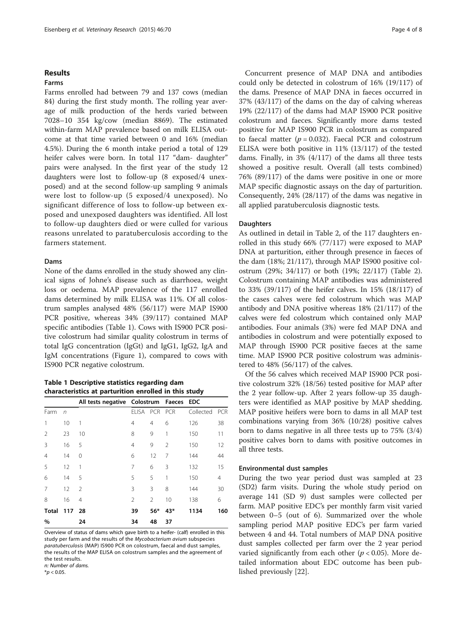## Results

## Farms

Farms enrolled had between 79 and 137 cows (median 84) during the first study month. The rolling year average of milk production of the herds varied between 7028–10 354 kg/cow (median 8869). The estimated within-farm MAP prevalence based on milk ELISA outcome at that time varied between 0 and 16% (median 4.5%). During the 6 month intake period a total of 129 heifer calves were born. In total 117 "dam- daughter" pairs were analysed. In the first year of the study 12 daughters were lost to follow-up (8 exposed/4 unexposed) and at the second follow-up sampling 9 animals were lost to follow-up (5 exposed/4 unexposed). No significant difference of loss to follow-up between exposed and unexposed daughters was identified. All lost to follow-up daughters died or were culled for various reasons unrelated to paratuberculosis according to the farmers statement.

## Dams

None of the dams enrolled in the study showed any clinical signs of Johne's disease such as diarrhoea, weight loss or oedema. MAP prevalence of the 117 enrolled dams determined by milk ELISA was 11%. Of all colostrum samples analysed 48% (56/117) were MAP IS900 PCR positive, whereas 34% (39/117) contained MAP specific antibodies (Table 1). Cows with IS900 PCR positive colostrum had similar quality colostrum in terms of total IgG concentration (IgGt) and IgG1, IgG2, IgA and IgM concentrations (Figure [1\)](#page-4-0), compared to cows with IS900 PCR negative colostrum.

Table 1 Descriptive statistics regarding dam characteristics at parturition enrolled in this study

|                |            | All tests negative Colostrum Faeces EDC |                |            |     |           |            |
|----------------|------------|-----------------------------------------|----------------|------------|-----|-----------|------------|
| Farm           | $\sqrt{n}$ |                                         | <b>ELISA</b>   | <b>PCR</b> | PCR | Collected | <b>PCR</b> |
| 1              | 10         | 1                                       | $\overline{4}$ | 4          | 6   | 126       | 38         |
| 2              | 23         | 10                                      | 8              | 9          | 1   | 150       | 11         |
| 3              | 16         | 5                                       | $\overline{4}$ | 9          | 2   | 150       | 12         |
| $\overline{4}$ | 14         | 0                                       | 6              | 12         | 7   | 144       | 44         |
| 5              | 12         | 1                                       | 7              | 6          | 3   | 132       | 15         |
| 6              | 14         | 5                                       | 5              | 5          | 1   | 150       | 4          |
| 7              | 12         | 2                                       | 3              | 3          | 8   | 144       | 30         |
| 8              | 16         | 4                                       | $\mathfrak{D}$ | 2          | 10  | 138       | 6          |
| <b>Total</b>   | 117        | 28                                      | 39             | $56*$      | 43* | 1134      | 160        |
| $\%$           |            | 24                                      | 34             | 48         | 37  |           |            |

Overview of status of dams which gave birth to a heifer- (calf) enrolled in this study per farm and the results of the Mycobacterium avium subspecies paratuberculosis (MAP) IS900 PCR on colostrum, faecal and dust samples, the results of the MAP ELISA on colostrum samples and the agreement of the test results. n: Number of dams.

 $*$ *p* < 0.05.

Concurrent presence of MAP DNA and antibodies could only be detected in colostrum of 16% (19/117) of the dams. Presence of MAP DNA in faeces occurred in 37% (43/117) of the dams on the day of calving whereas 19% (22/117) of the dams had MAP IS900 PCR positive colostrum and faeces. Significantly more dams tested positive for MAP IS900 PCR in colostrum as compared to faecal matter ( $p = 0.032$ ). Faecal PCR and colostrum ELISA were both positive in 11% (13/117) of the tested dams. Finally, in 3% (4/117) of the dams all three tests showed a positive result. Overall (all tests combined) 76% (89/117) of the dams were positive in one or more MAP specific diagnostic assays on the day of parturition. Consequently, 24% (28/117) of the dams was negative in all applied paratuberculosis diagnostic tests.

## **Daughters**

As outlined in detail in Table [2,](#page-4-0) of the 117 daughters enrolled in this study 66% (77/117) were exposed to MAP DNA at parturition, either through presence in faeces of the dam (18%; 21/117), through MAP IS900 positive colostrum (29%; 34/117) or both (19%; 22/117) (Table [2](#page-4-0)). Colostrum containing MAP antibodies was administered to 33% (39/117) of the heifer calves. In 15% (18/117) of the cases calves were fed colostrum which was MAP antibody and DNA positive whereas 18% (21/117) of the calves were fed colostrum which contained only MAP antibodies. Four animals (3%) were fed MAP DNA and antibodies in colostrum and were potentially exposed to MAP through IS900 PCR positive faeces at the same time. MAP IS900 PCR positive colostrum was administered to 48% (56/117) of the calves.

Of the 56 calves which received MAP IS900 PCR positive colostrum 32% (18/56) tested positive for MAP after the 2 year follow-up. After 2 years follow-up 35 daughters were identified as MAP positive by MAP shedding. MAP positive heifers were born to dams in all MAP test combinations varying from 36% (10/28) positive calves born to dams negative in all three tests up to 75% (3/4) positive calves born to dams with positive outcomes in all three tests.

## Environmental dust samples

During the two year period dust was sampled at 23 (SD2) farm visits. During the whole study period on average 141 (SD 9) dust samples were collected per farm. MAP positive EDC's per monthly farm visit varied between 0–5 (out of 6). Summarized over the whole sampling period MAP positive EDC's per farm varied between 4 and 44. Total numbers of MAP DNA positive dust samples collected per farm over the 2 year period varied significantly from each other ( $p < 0.05$ ). More detailed information about EDC outcome has been published previously [\[22](#page-7-0)].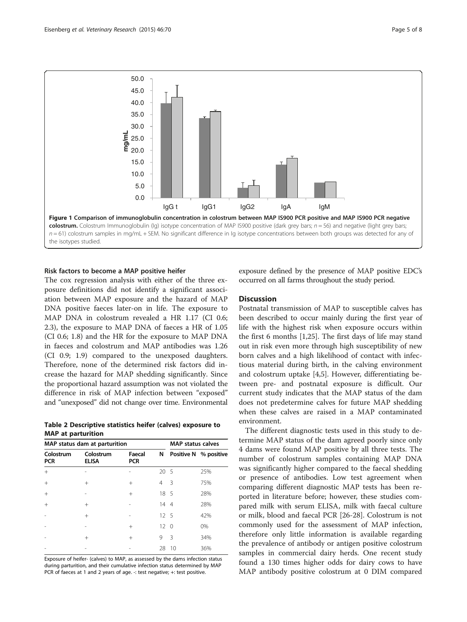<span id="page-4-0"></span>

### Risk factors to become a MAP positive heifer

The cox regression analysis with either of the three exposure definitions did not identify a significant association between MAP exposure and the hazard of MAP DNA positive faeces later-on in life. The exposure to MAP DNA in colostrum revealed a HR 1.17 (CI 0.6; 2.3), the exposure to MAP DNA of faeces a HR of 1.05 (CI 0.6; 1.8) and the HR for the exposure to MAP DNA in faeces and colostrum and MAP antibodies was 1.26 (CI 0.9; 1.9) compared to the unexposed daughters. Therefore, none of the determined risk factors did increase the hazard for MAP shedding significantly. Since the proportional hazard assumption was not violated the difference in risk of MAP infection between "exposed" and "unexposed" did not change over time. Environmental

Table 2 Descriptive statistics heifer (calves) exposure to MAP at parturition

|                         | MAP status dam at parturition | <b>MAP status calves</b> |                 |    |                       |
|-------------------------|-------------------------------|--------------------------|-----------------|----|-----------------------|
| Colostrum<br><b>PCR</b> | Colostrum<br><b>ELISA</b>     | Faecal<br><b>PCR</b>     | N               |    | Positive N % positive |
| $+$                     |                               |                          | 20 <sub>5</sub> |    | 25%                   |
| $+$                     | $^{+}$                        | $^{+}$                   | 4               | 3  | 75%                   |
| $^{+}$                  |                               | $^{+}$                   | 18 5            |    | 28%                   |
| $^{+}$                  | $^{+}$                        |                          | 14 4            |    | 28%                   |
|                         | $^{+}$                        |                          | $12 \quad 5$    |    | 42%                   |
|                         |                               | $^{+}$                   | $12 \quad 0$    |    | 0%                    |
|                         | $^{+}$                        | $^{+}$                   | 9               | 3  | 34%                   |
|                         |                               |                          | 28              | 10 | 36%                   |

Exposure of heifer- (calves) to MAP, as assessed by the dams infection status during parturition, and their cumulative infection status determined by MAP PCR of faeces at 1 and 2 years of age. -: test negative; +: test positive.

exposure defined by the presence of MAP positive EDC's occurred on all farms throughout the study period.

## **Discussion**

Postnatal transmission of MAP to susceptible calves has been described to occur mainly during the first year of life with the highest risk when exposure occurs within the first 6 months [\[1](#page-6-0)[,25](#page-7-0)]. The first days of life may stand out in risk even more through high susceptibility of new born calves and a high likelihood of contact with infectious material during birth, in the calving environment and colostrum uptake [\[4,5](#page-6-0)]. However, differentiating between pre- and postnatal exposure is difficult. Our current study indicates that the MAP status of the dam does not predetermine calves for future MAP shedding when these calves are raised in a MAP contaminated environment.

The different diagnostic tests used in this study to determine MAP status of the dam agreed poorly since only 4 dams were found MAP positive by all three tests. The number of colostrum samples containing MAP DNA was significantly higher compared to the faecal shedding or presence of antibodies. Low test agreement when comparing different diagnostic MAP tests has been reported in literature before; however, these studies compared milk with serum ELISA, milk with faecal culture or milk, blood and faecal PCR [[26](#page-7-0)-[28\]](#page-7-0). Colostrum is not commonly used for the assessment of MAP infection, therefore only little information is available regarding the prevalence of antibody or antigen positive colostrum samples in commercial dairy herds. One recent study found a 130 times higher odds for dairy cows to have MAP antibody positive colostrum at 0 DIM compared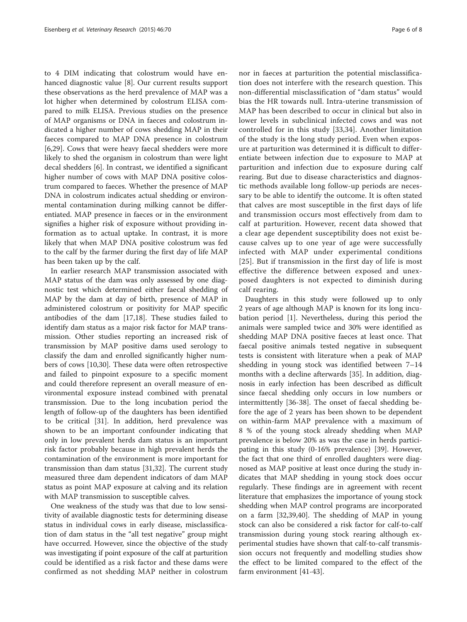to 4 DIM indicating that colostrum would have enhanced diagnostic value [[8\]](#page-7-0). Our current results support these observations as the herd prevalence of MAP was a lot higher when determined by colostrum ELISA compared to milk ELISA. Previous studies on the presence of MAP organisms or DNA in faeces and colostrum indicated a higher number of cows shedding MAP in their faeces compared to MAP DNA presence in colostrum [[6,](#page-6-0)[29\]](#page-7-0). Cows that were heavy faecal shedders were more likely to shed the organism in colostrum than were light decal shedders [[6\]](#page-6-0). In contrast, we identified a significant higher number of cows with MAP DNA positive colostrum compared to faeces. Whether the presence of MAP DNA in colostrum indicates actual shedding or environmental contamination during milking cannot be differentiated. MAP presence in faeces or in the environment signifies a higher risk of exposure without providing information as to actual uptake. In contrast, it is more likely that when MAP DNA positive colostrum was fed to the calf by the farmer during the first day of life MAP has been taken up by the calf.

In earlier research MAP transmission associated with MAP status of the dam was only assessed by one diagnostic test which determined either faecal shedding of MAP by the dam at day of birth, presence of MAP in administered colostrum or positivity for MAP specific antibodies of the dam [\[17,18](#page-7-0)]. These studies failed to identify dam status as a major risk factor for MAP transmission. Other studies reporting an increased risk of transmission by MAP positive dams used serology to classify the dam and enrolled significantly higher numbers of cows [[10,30\]](#page-7-0). These data were often retrospective and failed to pinpoint exposure to a specific moment and could therefore represent an overall measure of environmental exposure instead combined with prenatal transmission. Due to the long incubation period the length of follow-up of the daughters has been identified to be critical [[31](#page-7-0)]. In addition, herd prevalence was shown to be an important confounder indicating that only in low prevalent herds dam status is an important risk factor probably because in high prevalent herds the contamination of the environment is more important for transmission than dam status [[31,32\]](#page-7-0). The current study measured three dam dependent indicators of dam MAP status as point MAP exposure at calving and its relation with MAP transmission to susceptible calves.

One weakness of the study was that due to low sensitivity of available diagnostic tests for determining disease status in individual cows in early disease, misclassification of dam status in the "all test negative" group might have occurred. However, since the objective of the study was investigating if point exposure of the calf at parturition could be identified as a risk factor and these dams were confirmed as not shedding MAP neither in colostrum

nor in faeces at parturition the potential misclassification does not interfere with the research question. This non-differential misclassification of "dam status" would bias the HR towards null. Intra-uterine transmission of MAP has been described to occur in clinical but also in lower levels in subclinical infected cows and was not controlled for in this study [[33,34\]](#page-7-0). Another limitation of the study is the long study period. Even when exposure at parturition was determined it is difficult to differentiate between infection due to exposure to MAP at parturition and infection due to exposure during calf rearing. But due to disease characteristics and diagnostic methods available long follow-up periods are necessary to be able to identify the outcome. It is often stated that calves are most susceptible in the first days of life and transmission occurs most effectively from dam to calf at parturition. However, recent data showed that a clear age dependent susceptibility does not exist because calves up to one year of age were successfully infected with MAP under experimental conditions [[25](#page-7-0)]. But if transmission in the first day of life is most effective the difference between exposed and unexposed daughters is not expected to diminish during calf rearing.

Daughters in this study were followed up to only 2 years of age although MAP is known for its long incubation period [\[1](#page-6-0)]. Nevertheless, during this period the animals were sampled twice and 30% were identified as shedding MAP DNA positive faeces at least once. That faecal positive animals tested negative in subsequent tests is consistent with literature when a peak of MAP shedding in young stock was identified between 7–14 months with a decline afterwards [[35\]](#page-7-0). In addition, diagnosis in early infection has been described as difficult since faecal shedding only occurs in low numbers or intermittently [[36-38](#page-7-0)]. The onset of faecal shedding before the age of 2 years has been shown to be dependent on within-farm MAP prevalence with a maximum of 8 % of the young stock already shedding when MAP prevalence is below 20% as was the case in herds participating in this study (0-16% prevalence) [[39\]](#page-7-0). However, the fact that one third of enrolled daughters were diagnosed as MAP positive at least once during the study indicates that MAP shedding in young stock does occur regularly. These findings are in agreement with recent literature that emphasizes the importance of young stock shedding when MAP control programs are incorporated on a farm [[32,39,40\]](#page-7-0). The shedding of MAP in young stock can also be considered a risk factor for calf-to-calf transmission during young stock rearing although experimental studies have shown that calf-to-calf transmission occurs not frequently and modelling studies show the effect to be limited compared to the effect of the farm environment [\[41-43](#page-7-0)].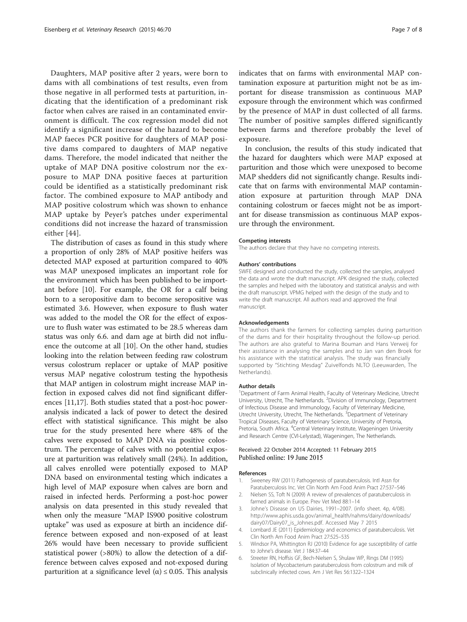<span id="page-6-0"></span>Daughters, MAP positive after 2 years, were born to dams with all combinations of test results, even from those negative in all performed tests at parturition, indicating that the identification of a predominant risk factor when calves are raised in an contaminated environment is difficult. The cox regression model did not identify a significant increase of the hazard to become MAP faeces PCR positive for daughters of MAP positive dams compared to daughters of MAP negative dams. Therefore, the model indicated that neither the uptake of MAP DNA positive colostrum nor the exposure to MAP DNA positive faeces at parturition could be identified as a statistically predominant risk factor. The combined exposure to MAP antibody and MAP positive colostrum which was shown to enhance MAP uptake by Peyer's patches under experimental conditions did not increase the hazard of transmission either [\[44\]](#page-7-0).

The distribution of cases as found in this study where a proportion of only 28% of MAP positive heifers was detected MAP exposed at parturition compared to 40% was MAP unexposed implicates an important role for the environment which has been published to be important before [[10\]](#page-7-0). For example, the OR for a calf being born to a seropositive dam to become seropositive was estimated 3.6. However, when exposure to flush water was added to the model the OR for the effect of exposure to flush water was estimated to be 28.5 whereas dam status was only 6.6. and dam age at birth did not influence the outcome at all [[10](#page-7-0)]. On the other hand, studies looking into the relation between feeding raw colostrum versus colostrum replacer or uptake of MAP positive versus MAP negative colostrum testing the hypothesis that MAP antigen in colostrum might increase MAP infection in exposed calves did not find significant differences [\[11,17](#page-7-0)]. Both studies stated that a post-hoc poweranalysis indicated a lack of power to detect the desired effect with statistical significance. This might be also true for the study presented here where 48% of the calves were exposed to MAP DNA via positive colostrum. The percentage of calves with no potential exposure at parturition was relatively small (24%). In addition, all calves enrolled were potentially exposed to MAP DNA based on environmental testing which indicates a high level of MAP exposure when calves are born and raised in infected herds. Performing a post-hoc power analysis on data presented in this study revealed that when only the measure "MAP IS900 positive colostrum uptake" was used as exposure at birth an incidence difference between exposed and non-exposed of at least 26% would have been necessary to provide sufficient statistical power (>80%) to allow the detection of a difference between calves exposed and not-exposed during parturition at a significance level ( $\alpha$ ) ≤ 0.05. This analysis indicates that on farms with environmental MAP contamination exposure at parturition might not be as important for disease transmission as continuous MAP exposure through the environment which was confirmed by the presence of MAP in dust collected of all farms. The number of positive samples differed significantly between farms and therefore probably the level of exposure.

In conclusion, the results of this study indicated that the hazard for daughters which were MAP exposed at parturition and those which were unexposed to become MAP shedders did not significantly change. Results indicate that on farms with environmental MAP contamination exposure at parturition through MAP DNA containing colostrum or faeces might not be as important for disease transmission as continuous MAP exposure through the environment.

#### Competing interests

The authors declare that they have no competing interests.

#### Authors' contributions

SWFE designed and conducted the study, collected the samples, analysed the data and wrote the draft manuscript. APK designed the study, collected the samples and helped with the laboratory and statistical analysis and with the draft manuscript. VPMG helped with the design of the study and to write the draft manuscript. All authors read and approved the final manuscript.

#### Acknowledgements

The authors thank the farmers for collecting samples during parturition of the dams and for their hospitality throughout the follow-up period. The authors are also grateful to Marina Bouman and Hans Verweij for their assistance in analysing the samples and to Jan van den Broek for his assistance with the statistical analysis. The study was financially supported by "Stichting Mesdag" Zuivelfonds NLTO (Leeuwarden, The Netherlands).

#### Author details

<sup>1</sup>Department of Farm Animal Health, Faculty of Veterinary Medicine, Utrecht University, Utrecht, The Netherlands. <sup>2</sup> Division of Immunology, Department of Infectious Disease and Immunology, Faculty of Veterinary Medicine, Utrecht University, Utrecht, The Netherlands.<sup>3</sup> Department of Veterinary Tropical Diseases, Faculty of Veterinary Science, University of Pretoria, Pretoria, South Africa. <sup>4</sup>Central Veterinary Institute, Wageningen University and Research Centre (CVI-Lelystad), Wageningen, The Netherlands.

## Received: 22 October 2014 Accepted: 11 February 2015 Published online: 19 June 2015

#### References

- 1. Sweeney RW (2011) Pathogenesis of paratuberculosis. Intl Assn for Paratuberculosis Inc. Vet Clin North Am Food Anim Pract 27:537–546
- 2. Nielsen SS, Toft N (2009) A review of prevalences of paratuberculosis in farmed animals in Europe. Prev Vet Med 88:1–14
- 3. Johne's Disease on US Dairies, 1991–2007. (info sheet. 4p, 4/08). [http://www.aphis.usda.gov/animal\\_health/nahms/dairy/downloads/](http://www.aphis.usda.gov/animal_health/nahms/dairy/downloads/dairy07/Dairy07_is_Johnes.pdf) [dairy07/Dairy07\\_is\\_Johnes.pdf](http://www.aphis.usda.gov/animal_health/nahms/dairy/downloads/dairy07/Dairy07_is_Johnes.pdf). Accessed May 7 2015
- 4. Lombard JE (2011) Epidemiology and economics of paratuberculosis. Vet Clin North Am Food Anim Pract 27:525–535
- 5. Windsor PA, Whittington RJ (2010) Evidence for age susceptibility of cattle to Johne's disease. Vet J 184:37–44
- 6. Streeter RN, Hoffsis GF, Bech-Nielsen S, Shulaw WP, Rings DM (1995) Isolation of Mycobacterium paratuberculosis from colostrum and milk of subclinically infected cows. Am J Vet Res 56:1322–1324